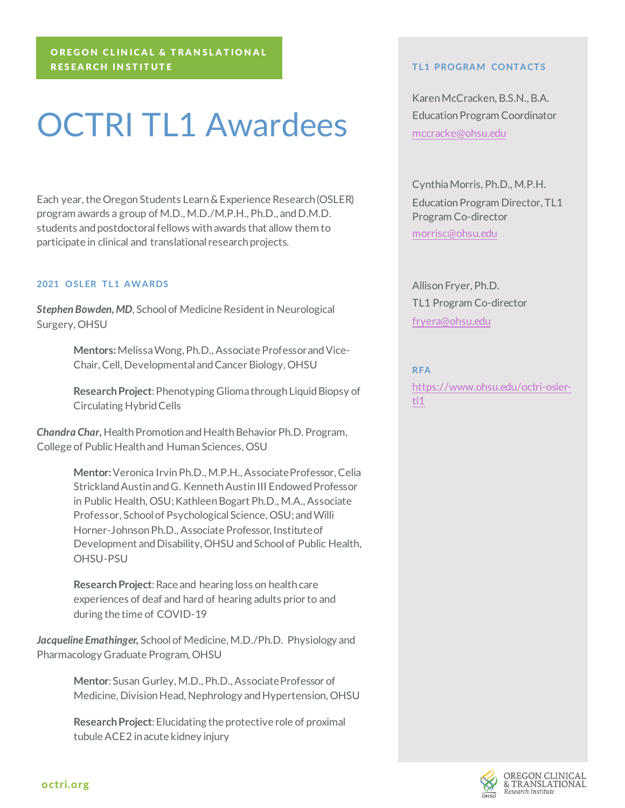# OREGON CLINICAL & TRANSLATIONAL RESEARCH INSTITUTE

# OCTRI TL1 Awardees

Each year, the Oregon Students Learn & Experience Research (OSLER) program awards a group of M.D., M.D./M.P.H., Ph.D., and D.M.D. students and postdoctoral fellows with awards that allow them to participate in clinical and translational research projects.

# **2021 OSLER TL1 AWARDS**

*Stephen Bowden, MD*, School of Medicine Resident in Neurological Surgery, OHSU

> **Mentors:**MelissaWong, Ph.D., Associate Professor and Vice-Chair, Cell, Developmental and Cancer Biology, OHSU

**Research Project**: Phenotyping Glioma through Liquid Biopsy of Circulating Hybrid Cells

*Chandra Char,* Health Promotion and Health Behavior Ph.D. Program, College of Public Health and Human Sciences, OSU

> **Mentor:**Veronica Irvin Ph.D., M.P.H., AssociateProfessor, Celia Strickland Austin and G. Kenneth Austin III Endowed Professor in Public Health, OSU; Kathleen Bogart Ph.D., M.A., Associate Professor, School of Psychological Science, OSU; and Willi Horner-Johnson Ph.D., Associate Professor, Institute of Development and Disability, OHSU and School of Public Health, OHSU-PSU

**Research Project**: Race and hearing loss on health care experiences of deaf and hard of hearing adults prior to and during the time of COVID-19

*Jacqueline Emathinger,* School of Medicine, M.D./Ph.D. Physiology and Pharmacology Graduate Program, OHSU

> **Mentor**: Susan Gurley, M.D., Ph.D., Associate Professor of Medicine, Division Head, Nephrology and Hypertension, OHSU

**Research Project**: Elucidating the protective role of proximal tubule ACE2 in acute kidney injury

#### **TL1 PROGRAM CONTACTS**

Karen McCracken, B.S.N., B.A. Education Program Coordinator [mccracke@ohsu.edu](mailto:mccracke@ohsu.edu)

Cynthia Morris, Ph.D., M.P.H. Education Program Director, TL1 Program Co-director [morrisc@ohsu.edu](mailto:morrisc@ohsu.edu)

Allison Fryer, Ph.D. TL1 Program Co-director [fryera@ohsu.edu](mailto:fryera@ohsu.edu)

# **RFA**

[https://www.ohsu.edu/octri-osler](https://www.ohsu.edu/octri-osler-tl1)[tl1](https://www.ohsu.edu/octri-osler-tl1)

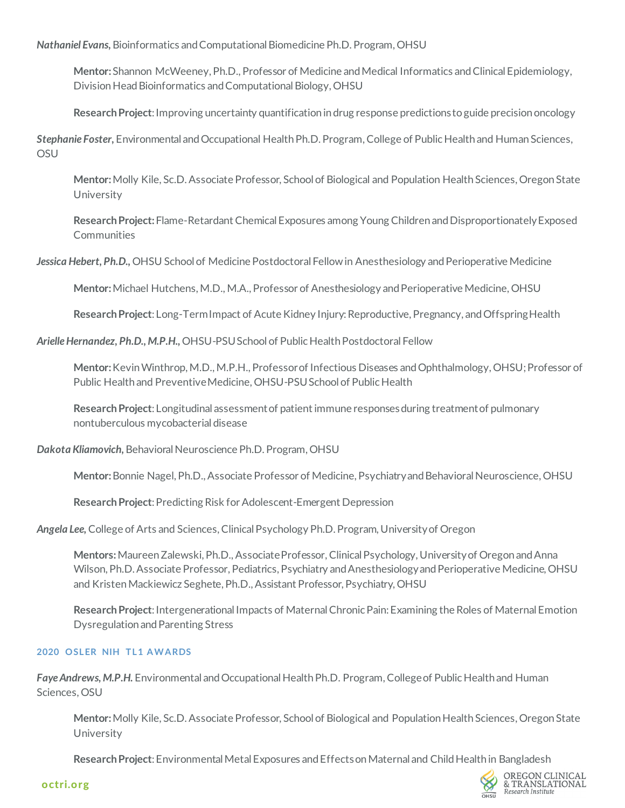*Nathaniel Evans,* Bioinformatics and Computational Biomedicine Ph.D. Program, OHSU

**Mentor:**Shannon McWeeney, Ph.D., Professor of Medicine and Medical Informatics and Clinical Epidemiology, Division Head Bioinformatics and Computational Biology, OHSU

**Research Project**: Improving uncertainty quantification in drug response predictions to guide precision oncology

*Stephanie Foster,* Environmental and Occupational HealthPh.D. Program, College of Public Health and Human Sciences, OSU

**Mentor:**Molly Kile, Sc.D. Associate Professor, School of Biological and Population Health Sciences, Oregon State University

**Research Project:** Flame-Retardant Chemical Exposures among Young Children and Disproportionately Exposed **Communities** 

*Jessica Hebert, Ph.D.,* OHSU School of Medicine Postdoctoral Fellow in Anesthesiology and Perioperative Medicine

**Mentor:**Michael Hutchens, M.D., M.A., Professor of Anesthesiology and Perioperative Medicine, OHSU

**Research Project**: Long-Term Impact of Acute Kidney Injury: Reproductive, Pregnancy, and Offspring Health

Arielle Hernandez, Ph.D., M.P.H., OHSU-PSU School of Public Health Postdoctoral Fellow

**Mentor:**Kevin Winthrop, M.D., M.P.H., Professorof Infectious Diseases and Ophthalmology, OHSU; Professor of Public Health and Preventive Medicine, OHSU-PSU School of Public Health

**Research Project**: Longitudinal assessment of patient immune responses during treatment of pulmonary nontuberculous mycobacterial disease

Dakota Kliamovich, Behavioral Neuroscience Ph.D. Program, OHSU

**Mentor:**Bonnie Nagel, Ph.D., Associate Professor of Medicine, Psychiatry and Behavioral Neuroscience, OHSU

**Research Project**: Predicting Risk for Adolescent-Emergent Depression

Angela Lee, College of Arts and Sciences, Clinical Psychology Ph.D. Program, University of Oregon

**Mentors:**Maureen Zalewski, Ph.D., AssociateProfessor, Clinical Psychology, University of Oregon and Anna Wilson, Ph.D. Associate Professor, Pediatrics, Psychiatry and Anesthesiology and Perioperative Medicine, OHSU and Kristen Mackiewicz Seghete, Ph.D., Assistant Professor, Psychiatry, OHSU

**Research Project**: Intergenerational Impacts of MaternalChronic Pain: Examining the Roles of Maternal Emotion Dysregulation and Parenting Stress

# **2020 OSLER NIH TL1 AWARDS**

Faye Andrews, M.P.H. Environmental and Occupational Health Ph.D. Program, College of Public Health and Human Sciences, OSU

**Mentor:**Molly Kile, Sc.D.Associate Professor, School of Biological and Population Health Sciences, Oregon State University

**Research Project**: Environmental Metal Exposures and Effects on Maternal and Child Health in Bangladesh

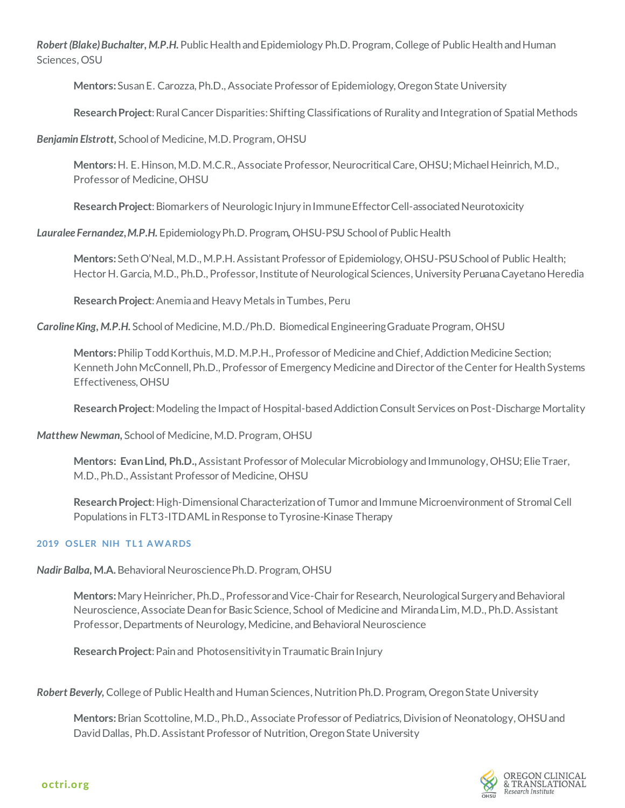*Robert (Blake) Buchalter, M.P.H.* Public Health and Epidemiology Ph.D.Program, College of Public Health and Human Sciences, OSU

**Mentors:**Susan E. Carozza, Ph.D., Associate Professor of Epidemiology, Oregon State University

**Research Project**: Rural Cancer Disparities: Shifting Classifications of Rurality and Integration of Spatial Methods

*Benjamin Elstrott,* School of Medicine, M.D. Program, OHSU

**Mentors:** H. E. Hinson, M.D. M.C.R., Associate Professor, Neurocritical Care, OHSU; Michael Heinrich, M.D., Professor of Medicine, OHSU

**Research Project**: Biomarkers of Neurologic Injury in Immune Effector Cell-associated Neurotoxicity

*Lauralee Fernandez, M.P.H.* Epidemiology Ph.D. Program*,* OHSU-PSU School of Public Health

**Mentors:**Seth O'Neal, M.D., M.P.H.Assistant Professor of Epidemiology, OHSU-PSU School of Public Health; Hector H. Garcia, M.D., Ph.D., Professor, Institute of Neurological Sciences, University Peruana Cayetano Heredia

**Research Project**: Anemia and Heavy Metals in Tumbes, Peru

*Caroline King, M.P.H.* School of Medicine, M.D./Ph.D. Biomedical Engineering Graduate Program, OHSU

**Mentors:**Philip Todd Korthuis, M.D.M.P.H., Professor of Medicine and Chief, Addiction Medicine Section; Kenneth John McConnell, Ph.D., Professor of Emergency Medicine and Director of the Center for Health Systems Effectiveness, OHSU

**Research Project**: Modeling the Impact of Hospital-based Addiction Consult Services on Post-Discharge Mortality

*Matthew Newman,* School of Medicine, M.D. Program, OHSU

**Mentors: Evan Lind, Ph.D.,**Assistant Professor of Molecular Microbiology and Immunology, OHSU; Elie Traer, M.D., Ph.D., Assistant Professor of Medicine, OHSU

**Research Project**: High-Dimensional Characterization of Tumor and Immune Microenvironment of Stromal Cell Populations in FLT3-ITD AML in Response to Tyrosine-Kinase Therapy

# **2019 OSLER NIH TL1 AWARDS**

**Nadir Balba, M.A.** Behavioral Neuroscience Ph.D. Program, OHSU

**Mentors:**Mary Heinricher, Ph.D., Professor and Vice-Chair for Research, Neurological Surgery and Behavioral Neuroscience, Associate Dean for Basic Science, School of Medicine and Miranda Lim, M.D., Ph.D.Assistant Professor, Departments of Neurology, Medicine, and Behavioral Neuroscience

**Research Project**: Pain and Photosensitivity in Traumatic Brain Injury

*Robert Beverly,* College of Public Health and Human Sciences, Nutrition Ph.D.Program, Oregon State University

**Mentors:**Brian Scottoline, M.D., Ph.D., Associate Professor of Pediatrics, Division of Neonatology, OHSU and David Dallas, Ph.D. Assistant Professor of Nutrition, Oregon State University

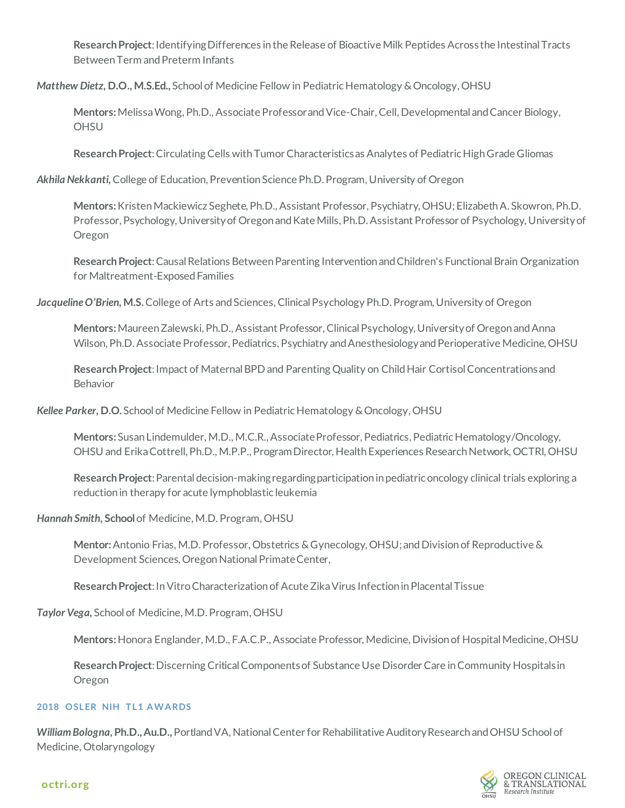**Research Project**: Identifying Differences in the Release of Bioactive Milk Peptides Across the Intestinal Tracts Between Term and Preterm Infants

*Matthew Dietz,* **D.O., M.S.Ed.,** School of Medicine Fellow in Pediatric Hematology & Oncology, OHSU

**Mentors:**MelissaWong, Ph.D., Associate Professor and Vice-Chair, Cell, Developmental and Cancer Biology, **OHSU** 

**Research Project**: Circulating Cells with Tumor Characteristics as Analytes of Pediatric High Grade Gliomas

*Akhila Nekkanti,* College of Education, Prevention Science Ph.D.Program, University of Oregon

**Mentors:**Kristen Mackiewicz Seghete, Ph.D., Assistant Professor, Psychiatry, OHSU; Elizabeth A. Skowron, Ph.D. Professor, Psychology, University of Oregon and Kate Mills, Ph.D. Assistant Professor of Psychology, University of Oregon

**Research Project**: Causal Relations Between Parenting Intervention and Children's Functional Brain Organization for Maltreatment-Exposed Families

Jacqueline O'Brien, M.S. College of Arts and Sciences, Clinical Psychology Ph.D. Program, University of Oregon

**Mentors:**Maureen Zalewski, Ph.D., Assistant Professor, Clinical Psychology, University of Oregon and Anna Wilson, Ph.D. Associate Professor, Pediatrics, Psychiatry and Anesthesiology and Perioperative Medicine, OHSU

**Research Project**: Impact of Maternal BPD and Parenting Quality on Child Hair Cortisol Concentrations and Behavior

*Kellee Parker,* **D.O.** School of Medicine Fellow in Pediatric Hematology & Oncology, OHSU

**Mentors:**Susan Lindemulder, M.D., M.C.R., Associate Professor, Pediatrics, Pediatric Hematology/Oncology, OHSU and Erika Cottrell, Ph.D., M.P.P., Program Director, Health Experiences Research Network, OCTRI, OHSU

**Research Project**: Parental decision-making regarding participation in pediatric oncology clinical trials exploring a reduction in therapy for acute lymphoblastic leukemia

*Hannah Smith,* **School**of Medicine, M.D. Program, OHSU

**Mentor:**Antonio Frias, M.D. Professor, Obstetrics & Gynecology, OHSU; and Division of Reproductive & Development Sciences, Oregon National Primate Center,

**Research Project**: In Vitro Characterization of Acute Zika Virus Infection in Placental Tissue

*Taylor Vega,* School of Medicine, M.D. Program, OHSU

**Mentors:**Honora Englander, M.D., F.A.C.P., Associate Professor, Medicine, Division of Hospital Medicine, OHSU

**Research Project**: Discerning Critical Components of Substance Use Disorder Care in Community Hospitals in Oregon

# **2018 OSLER NIH TL1 AWARDS**

*William Bologna,* **Ph.D., Au.D.,** Portland VA, National Center for Rehabilitative Auditory Research and OHSU School of Medicine, Otolaryngology

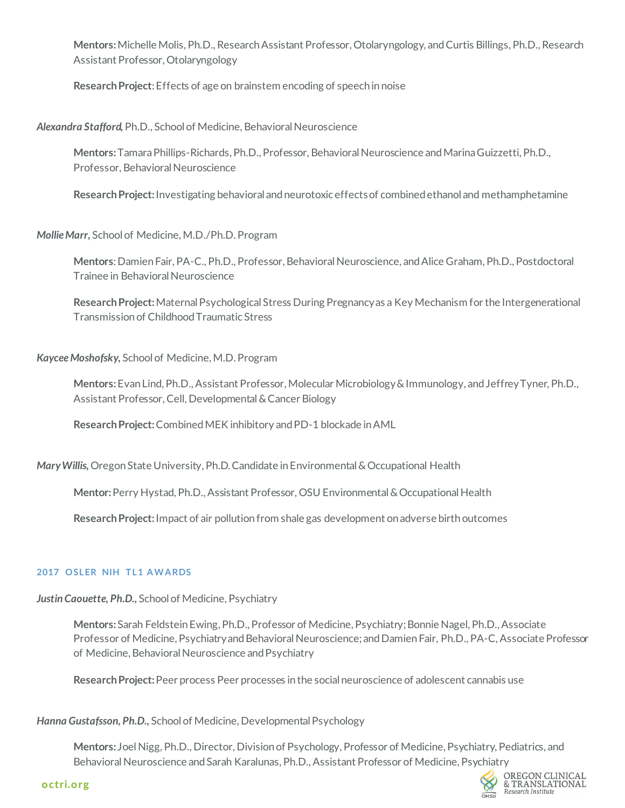**Mentors:**Michelle Molis, Ph.D., Research Assistant Professor, Otolaryngology, and Curtis Billings, Ph.D., Research Assistant Professor, Otolaryngology

**Research Project**: Effects of age on brainstem encoding of speech in noise

*Alexandra Stafford,* Ph.D., School of Medicine, Behavioral Neuroscience

**Mentors:** Tamara Phillips-Richards, Ph.D., Professor, Behavioral Neuroscience and Marina Guizzetti, Ph.D., Professor, Behavioral Neuroscience

**Research Project:** Investigating behavioral and neurotoxic effects of combined ethanol and methamphetamine

*Mollie Marr,* School of Medicine, M.D./Ph.D. Program

**Mentors**: Damien Fair, PA-C., Ph.D., Professor, Behavioral Neuroscience, and Alice Graham, Ph.D., Postdoctoral Trainee in Behavioral Neuroscience

**Research Project:** Maternal Psychological Stress During Pregnancy as a Key Mechanism for the Intergenerational Transmission of Childhood Traumatic Stress

*Kaycee Moshofsky,* School of Medicine, M.D. Program

**Mentors:** Evan Lind, Ph.D., Assistant Professor, Molecular Microbiology & Immunology, and Jeffrey Tyner, Ph.D., Assistant Professor, Cell, Developmental & Cancer Biology

**Research Project:** Combined MEK inhibitory and PD-1 blockade in AML

*Mary Willis,* Oregon State University, Ph.D. Candidate in Environmental & Occupational Health

**Mentor:** Perry Hystad, Ph.D., Assistant Professor, OSU Environmental & Occupational Health

**Research Project:** Impact of air pollution from shale gas development on adverse birth outcomes

# **2017 OSLER NIH TL1 AWARDS**

*Justin Caouette, Ph.D.,* School of Medicine, Psychiatry

**Mentors:** Sarah Feldstein Ewing, Ph.D., Professor of Medicine, Psychiatry; Bonnie Nagel, Ph.D., Associate Professor of Medicine, Psychiatry and Behavioral Neuroscience; and Damien Fair, Ph.D., PA-C, Associate Professor of Medicine, Behavioral Neuroscience and Psychiatry

**Research Project:** Peer process Peer processes in the social neuroscience of adolescent cannabis use

*Hanna Gustafsson, Ph.D.,* School of Medicine, Developmental Psychology

**Mentors:** Joel Nigg, Ph.D., Director, Division of Psychology, Professor of Medicine, Psychiatry, Pediatrics, and Behavioral Neuroscience and Sarah Karalunas, Ph.D., Assistant Professor of Medicine, Psychiatry



OREGON CLINICAL & TRANSLATIONAL Research Institute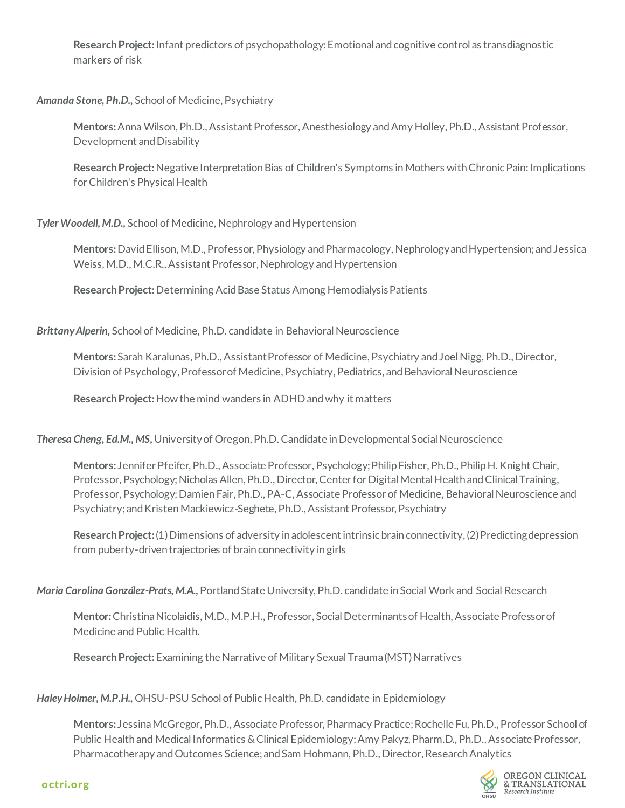**Research Project:** Infant predictors of psychopathology: Emotional and cognitive control as transdiagnostic markers of risk

# *Amanda Stone, Ph.D.,* School of Medicine, Psychiatry

**Mentors:** Anna Wilson, Ph.D., Assistant Professor, Anesthesiology and Amy Holley, Ph.D., Assistant Professor, Development and Disability

**Research Project:** Negative Interpretation Bias of Children's Symptoms in Mothers with Chronic Pain: Implications for Children's Physical Health

# *Tyler Woodell, M.D.,* School of Medicine, Nephrology and Hypertension

**Mentors:** David Ellison, M.D., Professor, Physiology and Pharmacology, Nephrology and Hypertension; and Jessica Weiss, M.D., M.C.R., Assistant Professor, Nephrology and Hypertension

**Research Project:** Determining Acid Base Status Among Hemodialysis Patients

*Brittany Alperin,* School of Medicine, Ph.D. candidate in Behavioral Neuroscience

**Mentors:** Sarah Karalunas, Ph.D., Assistant Professor of Medicine, Psychiatry and Joel Nigg, Ph.D., Director, Division of Psychology, Professor of Medicine, Psychiatry, Pediatrics, and Behavioral Neuroscience

**Research Project:** How the mind wanders in ADHD and why it matters

*Theresa Cheng, Ed.M., MS,* University of Oregon, Ph.D. Candidate in Developmental Social Neuroscience

**Mentors:** Jennifer Pfeifer, Ph.D., Associate Professor, Psychology; Philip Fisher, Ph.D., Philip H. Knight Chair, Professor, Psychology; Nicholas Allen, Ph.D., Director, Center for Digital Mental Health and Clinical Training, Professor, Psychology; Damien Fair, Ph.D., PA-C, Associate Professor of Medicine, Behavioral Neuroscience and Psychiatry; and Kristen Mackiewicz-Seghete, Ph.D., Assistant Professor, Psychiatry

**Research Project:** (1) Dimensions of adversity in adolescent intrinsic brain connectivity, (2) Predicting depression from puberty-driven trajectories of brain connectivity in girls

*Maria Carolina González-Prats, M.A.,* Portland State University, Ph.D. candidate in Social Work and Social Research

**Mentor:** Christina Nicolaidis, M.D., M.P.H., Professor, Social Determinants of Health, Associate Professor of Medicine and Public Health.

**Research Project:** Examining the Narrative of Military Sexual Trauma (MST) Narratives

*Haley Holmer, M.P.H.,* OHSU-PSU School of Public Health, Ph.D. candidate in Epidemiology

**Mentors:** Jessina McGregor, Ph.D., Associate Professor, Pharmacy Practice; Rochelle Fu, Ph.D., Professor School of Public Health and Medical Informatics & Clinical Epidemiology; Amy Pakyz, Pharm.D., Ph.D., Associate Professor, Pharmacotherapy and Outcomes Science; and Sam Hohmann, Ph.D., Director, Research Analytics

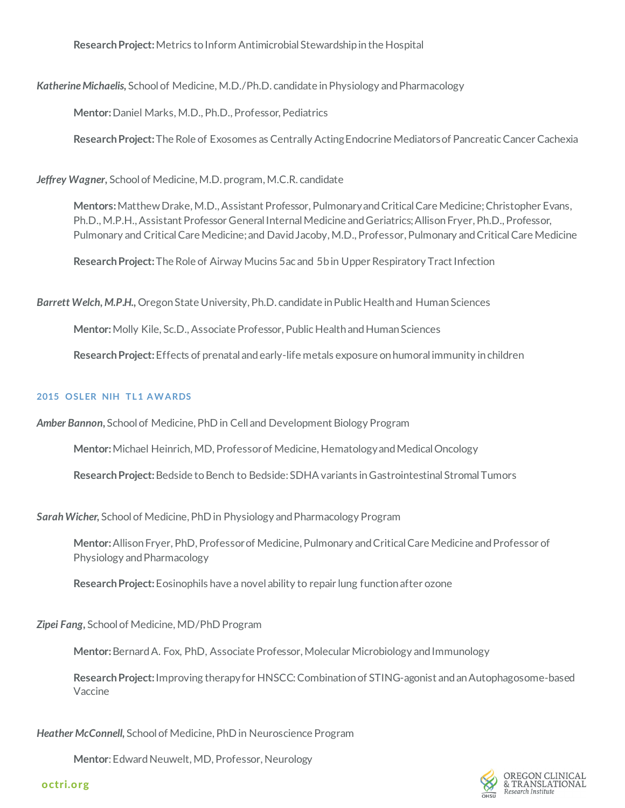**Research Project:** Metrics to Inform Antimicrobial Stewardship in the Hospital

*Katherine Michaelis,* School of Medicine, M.D./Ph.D. candidate in Physiology and Pharmacology

**Mentor:** Daniel Marks, M.D., Ph.D., Professor, Pediatrics

**Research Project:** The Role of Exosomes as Centrally Acting Endocrine Mediators of Pancreatic Cancer Cachexia

*Jeffrey Wagner,* School of Medicine, M.D. program, M.C.R. candidate

**Mentors:** Matthew Drake, M.D., Assistant Professor, Pulmonary and Critical Care Medicine; Christopher Evans, Ph.D., M.P.H., Assistant Professor General Internal Medicine and Geriatrics; Allison Fryer, Ph.D., Professor, Pulmonary and Critical Care Medicine; and David Jacoby, M.D., Professor, Pulmonary and Critical Care Medicine

**Research Project:** The Role of Airway Mucins 5ac and 5b in Upper Respiratory Tract Infection

*Barrett Welch, M.P.H.,* Oregon State University, Ph.D. candidate in Public Health and Human Sciences

**Mentor:** Molly Kile, Sc.D., Associate Professor, Public Health and Human Sciences

**Research Project:** Effects of prenatal and early-life metals exposure on humoral immunity in children

#### **2015 OSLER NIH TL1 AWARDS**

*Amber Bannon***,** School of Medicine, PhD in Cell and Development Biology Program

**Mentor:** Michael Heinrich, MD, Professor of Medicine, Hematology and Medical Oncology

**Research Project:** Bedside to Bench to Bedside: SDHA variants in Gastrointestinal Stromal Tumors

*Sarah Wicher,* School of Medicine, PhD in Physiology and Pharmacology Program

**Mentor:** Allison Fryer, PhD, Professor of Medicine, Pulmonary and Critical Care Medicine and Professor of Physiology and Pharmacology

**Research Project:** Eosinophils have a novel ability to repair lung function after ozone

# *Zipei Fang,* School of Medicine, MD/PhD Program

**Mentor:** Bernard A. Fox, PhD, Associate Professor, Molecular Microbiology and Immunology

**Research Project:** Improving therapy for HNSCC: Combination of STING-agonist and an Autophagosome-based Vaccine

*Heather McConnell,* School of Medicine, PhD in Neuroscience Program

**Mentor**: Edward Neuwelt, MD, Professor, Neurology



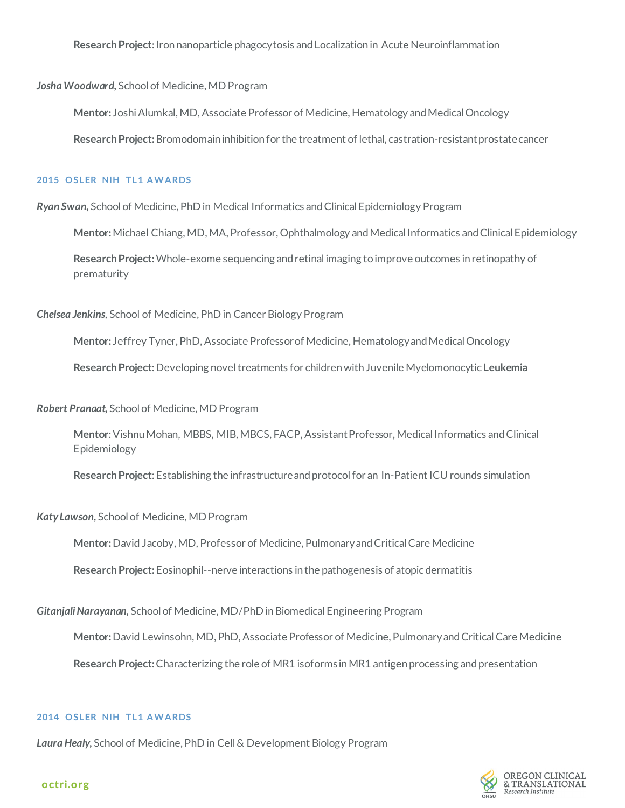**Research Project**: Iron nanoparticle phagocytosis and Localization in Acute Neuroinflammation

*Josha Woodward,* School of Medicine, MD Program

**Mentor:** Joshi Alumkal, MD, Associate Professor of Medicine, Hematology and Medical Oncology

**Research Project:** Bromodomain inhibition for the treatment of lethal, castration-resistant prostate cancer

#### **2015 OSLER NIH TL1 AWARDS**

*Ryan Swan,* School of Medicine, PhD in Medical Informatics and Clinical Epidemiology Program

**Mentor:** Michael Chiang, MD, MA, Professor, Ophthalmology and Medical Informatics and Clinical Epidemiology

**Research Project:** Whole-exome sequencing and retinal imaging to improve outcomes in retinopathy of prematurity

*Chelsea Jenkins,* School of Medicine, PhD in Cancer Biology Program

**Mentor:** Jeffrey Tyner, PhD, Associate Professor of Medicine, Hematology and Medical Oncology **Research Project:** Developing novel treatments for children with Juvenile Myelomonocytic **Leukemia**

*Robert Pranaat,* School of Medicine, MD Program

**Mentor**: Vishnu Mohan, MBBS, MIB, MBCS, FACP, Assistant Professor, Medical Informatics and Clinical Epidemiology

**Research Project**: Establishing the infrastructure and protocol for an In-Patient ICU rounds simulation

*Katy Lawson,* School of Medicine, MD Program

**Mentor:** David Jacoby, MD, Professor of Medicine, Pulmonary and Critical Care Medicine

**Research Project:** Eosinophil--nerve interactions in the pathogenesis of atopic dermatitis

*Gitanjali Narayanan,* School of Medicine, MD/PhD in Biomedical Engineering Program

**Mentor:** David Lewinsohn, MD, PhD, Associate Professor of Medicine, Pulmonary and Critical Care Medicine

**Research Project:** Characterizing the role of MR1 isoforms in MR1 antigen processing and presentation

#### **2014 OSLER NIH TL1 AWARDS**

*Laura Healy,* School of Medicine, PhD in Cell & Development Biology Program

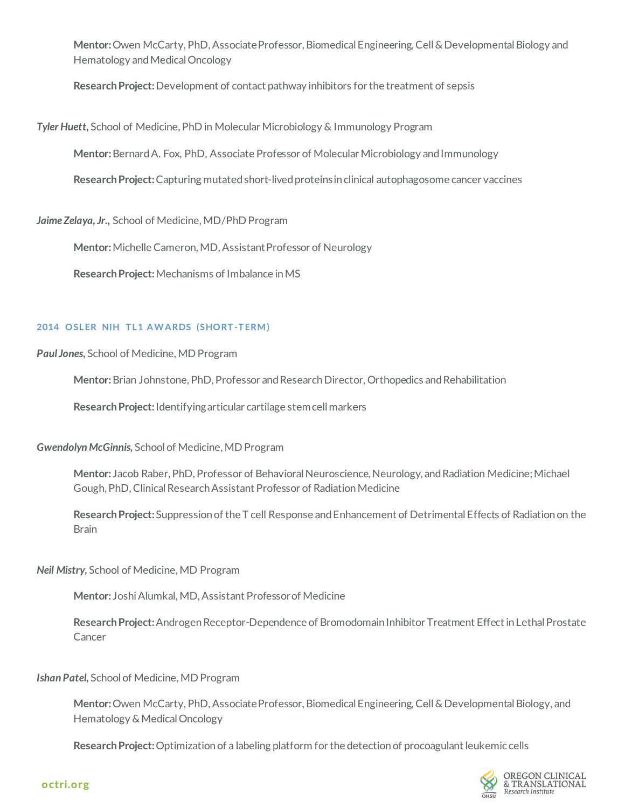**Mentor:** Owen McCarty, PhD, Associate Professor, Biomedical Engineering, Cell & Developmental Biology and Hematology and Medical Oncology

**Research Project:** Development of contact pathway inhibitors for the treatment of sepsis

*Tyler Huett,* School of Medicine, PhD in Molecular Microbiology & Immunology Program

**Mentor:** Bernard A. Fox, PhD, Associate Professor of Molecular Microbiology and Immunology

**Research Project:** Capturing mutated short-lived proteins in clinical autophagosome cancer vaccines

*Jaime Zelaya, Jr.,* School of Medicine, MD/PhD Program

**Mentor:** Michelle Cameron, MD, Assistant Professor of Neurology

**Research Project:** Mechanisms of Imbalance in MS

# **2014 OSLER NIH TL1 AWARDS (SHORT-TERM)**

*Paul Jones,* School of Medicine, MD Program

**Mentor:** Brian Johnstone, PhD, Professor and Research Director, Orthopedics and Rehabilitation

**Research Project:** Identifying articular cartilage stem cell markers

# *Gwendolyn McGinnis,* School of Medicine, MD Program

**Mentor:** Jacob Raber, PhD, Professor of Behavioral Neuroscience, Neurology, and Radiation Medicine; Michael Gough, PhD, Clinical Research Assistant Professor of Radiation Medicine

**Research Project:** Suppression of the T cell Response and Enhancement of Detrimental Effects of Radiation on the **Brain** 

*Neil Mistry,* School of Medicine, MD Program

**Mentor:** Joshi Alumkal, MD, Assistant Professor of Medicine

**Research Project:** Androgen Receptor-Dependence of Bromodomain Inhibitor Treatment Effect in Lethal Prostate Cancer

*Ishan Patel,* School of Medicine, MD Program

**Mentor:** Owen McCarty, PhD, Associate Professor, Biomedical Engineering, Cell & Developmental Biology, and Hematology & Medical Oncology

**Research Project:** Optimization of a labeling platform for the detection of procoagulant leukemic cells

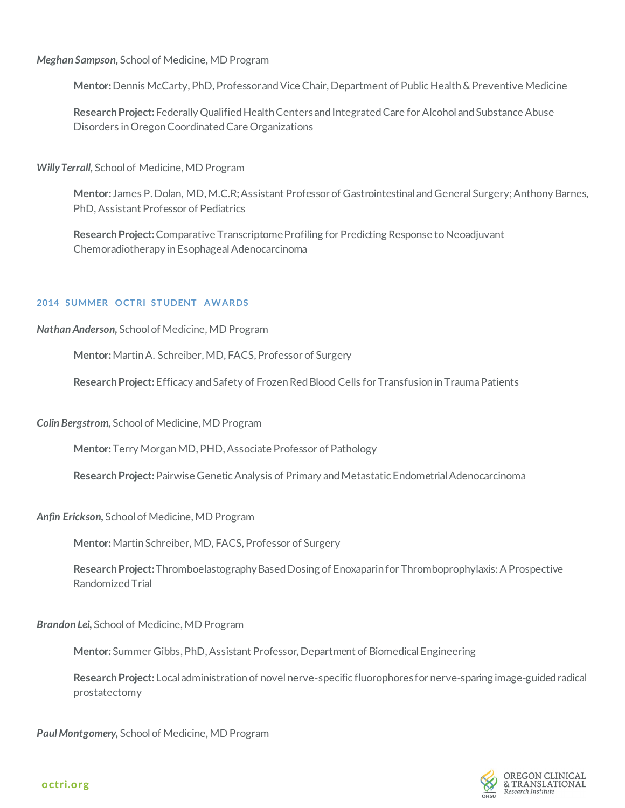*Meghan Sampson,* School of Medicine, MD Program

**Mentor:** Dennis McCarty, PhD, Professor and Vice Chair, Department of Public Health & Preventive Medicine

**Research Project:** Federally Qualified Health Centers and Integrated Care for Alcohol and Substance Abuse Disorders in Oregon Coordinated Care Organizations

*Willy Terrall,* School of Medicine, MD Program

**Mentor:** James P. Dolan, MD, M.C.R; Assistant Professor of Gastrointestinal and General Surgery; Anthony Barnes, PhD, Assistant Professor of Pediatrics

**Research Project:** Comparative Transcriptome Profiling for Predicting Response to Neoadjuvant Chemoradiotherapy in Esophageal Adenocarcinoma

#### **2014 SUMMER OCTRI STUDENT AWARDS**

*Nathan Anderson,* School of Medicine, MD Program

**Mentor:** Martin A. Schreiber, MD, FACS, Professor of Surgery

**Research Project:** Efficacy and Safety of Frozen Red Blood Cells for Transfusion inTrauma Patients

*Colin Bergstrom,* School of Medicine, MD Program

**Mentor:** Terry Morgan MD, PHD, Associate Professor of Pathology

**Research Project:** Pairwise Genetic Analysis of Primary and Metastatic Endometrial Adenocarcinoma

*Anfin Erickson,* School of Medicine, MD Program

**Mentor:** Martin Schreiber, MD, FACS, Professor of Surgery

**Research Project:** Thromboelastography Based Dosing of Enoxaparin for Thromboprophylaxis: A Prospective Randomized Trial

*Brandon Lei,* School of Medicine, MD Program

**Mentor:** Summer Gibbs, PhD, Assistant Professor, Department of Biomedical Engineering

**Research Project:** Local administration of novel nerve-specific fluorophores for nerve-sparing image-guided radical prostatectomy

*Paul Montgomery,* School of Medicine, MD Program

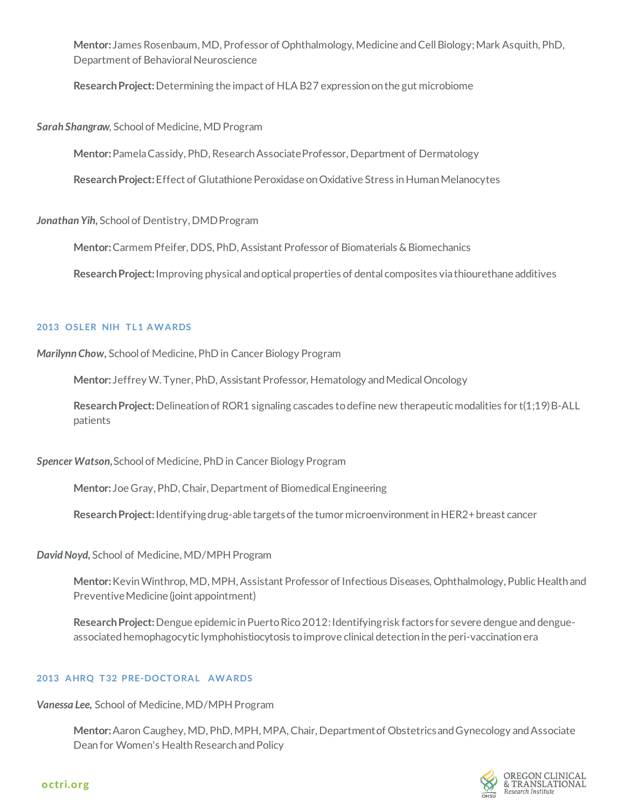**Mentor:** James Rosenbaum, MD, Professor of Ophthalmology, Medicine and Cell Biology; Mark Asquith, PhD, Department of Behavioral Neuroscience

**Research Project:** Determining the impact of HLA B27 expression on the gut microbiome

*Sarah Shangraw,* School of Medicine, MD Program

**Mentor:** Pamela Cassidy, PhD, Research Associate Professor, Department of Dermatology

**Research Project:** Effect of Glutathione Peroxidase on Oxidative Stress in Human Melanocytes

*Jonathan Yih,* School of Dentistry, DMD Program

**Mentor:** Carmem Pfeifer, DDS, PhD, Assistant Professor of Biomaterials & Biomechanics

**Research Project:** Improving physical and optical properties of dental composites via thiourethane additives

#### **2013 OSLER NIH TL1 AWARDS**

*Marilynn Chow,* School of Medicine, PhD in Cancer Biology Program

**Mentor:** Jeffrey W. Tyner, PhD, Assistant Professor, Hematology and Medical Oncology

**Research Project:** Delineation of ROR1 signaling cascades to define new therapeutic modalities for t(1;19) B-ALL patients

*Spencer Watson,* School of Medicine, PhD in Cancer Biology Program

**Mentor:** Joe Gray, PhD, Chair, Department of Biomedical Engineering

**Research Project:** Identifying drug-able targets of the tumor microenvironment in HER2+ breast cancer

*David Noyd,* School of Medicine, MD/MPH Program

**Mentor:** Kevin Winthrop, MD, MPH, Assistant Professor of Infectious Diseases, Ophthalmology, Public Health and Preventive Medicine (joint appointment)

Research Project: Dengue epidemic in Puerto Rico 2012: Identifying risk factors for severe dengue and dengueassociated hemophagocytic lymphohistiocytosis to improve clinical detection in the peri-vaccination era

# **2013 AHRQ T32 PRE-DOCTORAL AWARDS**

*Vanessa Lee,* School of Medicine, MD/MPH Program

**Mentor:** Aaron Caughey, MD, PhD, MPH, MPA, Chair, Department of Obstetrics and Gynecology and Associate Dean for Women's Health Research and Policy

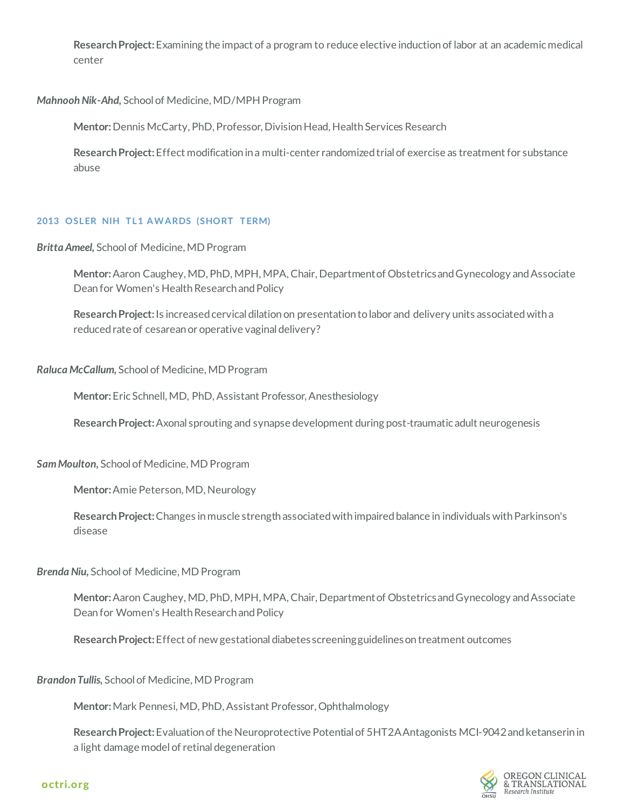**Research Project:** Examining the impact of a program to reduce elective induction of labor at an academic medical center

# *Mahnooh Nik-Ahd,* School of Medicine, MD/MPH Program

**Mentor:** Dennis McCarty, PhD, Professor, Division Head, Health Services Research

**Research Project:** Effect modification in a multi-center randomized trial of exercise as treatment for substance abuse

#### **2013 OSLER NIH TL1 AWARDS (SHORT TERM)**

*Britta Ameel,* School of Medicine, MD Program

**Mentor:** Aaron Caughey, MD, PhD, MPH, MPA, Chair, Department of Obstetrics and Gynecology and Associate Dean for Women's Health Research and Policy

**Research Project:** Is increased cervical dilation on presentation to labor and delivery units associated with a reduced rate of cesarean or operative vaginal delivery?

#### *Raluca McCallum,* School of Medicine, MD Program

**Mentor:** Eric Schnell, MD, PhD, Assistant Professor, Anesthesiology

**Research Project:** Axonal sprouting and synapse development during post-traumatic adult neurogenesis

#### *Sam Moulton,* School of Medicine, MD Program

**Mentor:** Amie Peterson, MD, Neurology

**Research Project:** Changes in muscle strength associated with impaired balance in individuals with Parkinson's disease

#### *Brenda Niu,* School of Medicine, MD Program

**Mentor:** Aaron Caughey, MD, PhD, MPH, MPA, Chair, Department of Obstetrics and Gynecology and Associate Dean for Women's Health Research and Policy

**Research Project:** Effect of new gestational diabetes screening guidelines on treatment outcomes

*Brandon Tullis,* School of Medicine, MD Program

**Mentor:** Mark Pennesi, MD, PhD, Assistant Professor, Ophthalmology

**Research Project:** Evaluation of the Neuroprotective Potential of 5HT2A Antagonists MCI-9042 and ketanserin in a light damage model of retinal degeneration

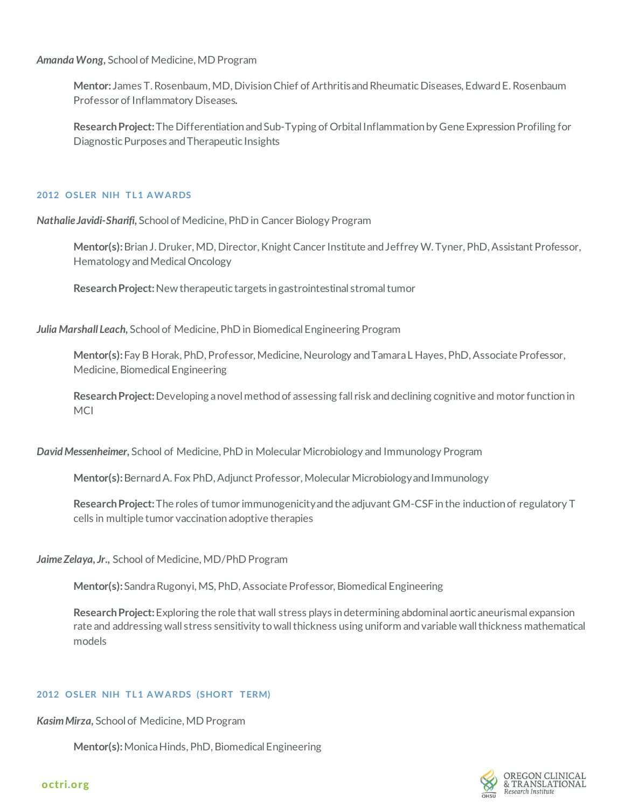*Amanda Wong,* School of Medicine, MD Program

**Mentor:** James T. Rosenbaum, MD, Division Chief of Arthritis and Rheumatic Diseases, Edward E. Rosenbaum Professor of Inflammatory Diseases**.**

**Research Project:** The Differentiation and Sub-Typing of Orbital Inflammation by Gene Expression Profiling for Diagnostic Purposes and Therapeutic Insights

# **2012 OSLER NIH TL1 AWARDS**

*Nathalie Javidi-Sharifi,* School of Medicine, PhD in Cancer Biology Program

**Mentor(s):** Brian J. Druker, MD, Director, Knight Cancer Institute and Jeffrey W. Tyner, PhD, Assistant Professor, Hematology and Medical Oncology

**Research Project:** New therapeutic targets in gastrointestinal stromal tumor

*Julia Marshall Leach,* School of Medicine, PhD in Biomedical Engineering Program

**Mentor(s):** Fay B Horak, PhD, Professor, Medicine, Neurology and Tamara L Hayes, PhD, Associate Professor, Medicine, Biomedical Engineering

**Research Project:** Developing a novel method of assessing fall risk and declining cognitive and motor function in MCI

*David Messenheimer,* School of Medicine, PhD in Molecular Microbiology and Immunology Program

**Mentor(s):** Bernard A. Fox PhD, Adjunct Professor, Molecular Microbiology and Immunology

**Research Project:** The roles of tumor immunogenicity and the adjuvant GM-CSF in the induction of regulatory T cells in multiple tumor vaccination adoptive therapies

*Jaime Zelaya, Jr.,* School of Medicine, MD/PhD Program

**Mentor(s):** Sandra Rugonyi, MS, PhD, Associate Professor, Biomedical Engineering

**Research Project:** Exploring the role that wall stress plays in determining abdominal aortic aneurismal expansion rate and addressing wall stress sensitivity to wall thickness using uniform and variable wall thickness mathematical models

# **2012 OSLER NIH TL1 AWARDS (SHORT TERM)**

*Kasim Mirza,* School of Medicine, MD Program

**Mentor(s):** Monica Hinds, PhD, Biomedical Engineering

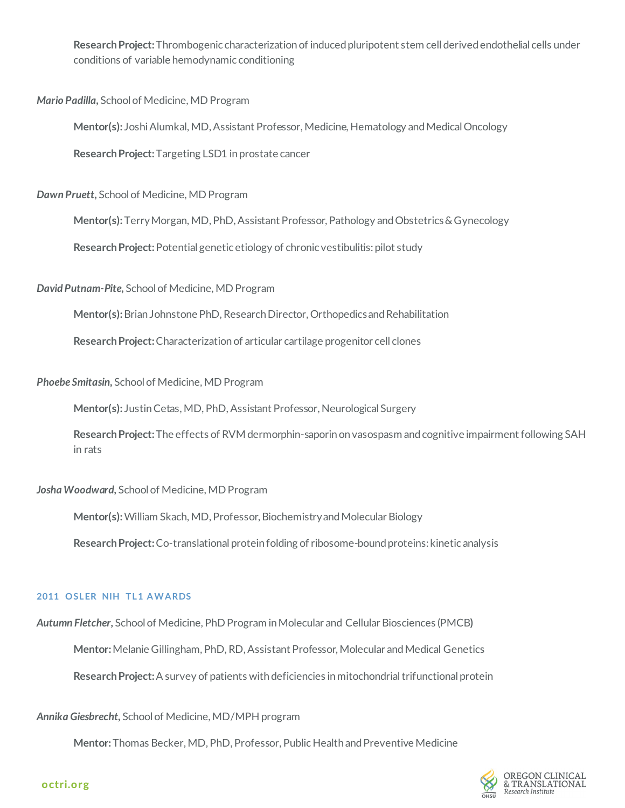**Research Project:** Thrombogenic characterization of induced pluripotent stem cell derived endothelial cells under conditions of variable hemodynamic conditioning

*Mario Padilla,* School of Medicine, MD Program

**Mentor(s):** Joshi Alumkal, MD, Assistant Professor, Medicine, Hematology and Medical Oncology

**Research Project:** Targeting LSD1 in prostate cancer

*Dawn Pruett,* School of Medicine, MD Program

**Mentor(s):** Terry Morgan, MD, PhD, Assistant Professor, Pathology and Obstetrics & Gynecology

**Research Project:** Potential genetic etiology of chronic vestibulitis: pilot study

*David Putnam-Pite,* School of Medicine, MD Program

**Mentor(s):** Brian Johnstone PhD, Research Director, Orthopedicsand Rehabilitation

**Research Project:** Characterization of articular cartilage progenitor cell clones

*Phoebe Smitasin,* School of Medicine, MD Program

**Mentor(s):** Justin Cetas, MD, PhD, Assistant Professor, Neurological Surgery

**Research Project:** The effects of RVM dermorphin-saporin on vasospasm and cognitive impairment following SAH in rats

# *Josha Woodward,* School of Medicine, MD Program

**Mentor(s):** William Skach, MD, Professor, Biochemistry and Molecular Biology

**Research Project:** Co-translational protein folding of ribosome-bound proteins: kinetic analysis

# **2011 OSLER NIH TL1 AWARDS**

*Autumn Fletcher,* School of Medicine, PhD Program in Molecular and Cellular Biosciences (PMCB**)**

**Mentor:** Melanie Gillingham, PhD, RD, Assistant Professor, Molecular and Medical Genetics

**Research Project:** A survey of patients with deficiencies in mitochondrial trifunctional protein

*Annika Giesbrecht,* School of Medicine, MD/MPH program

**Mentor:** Thomas Becker, MD, PhD, Professor, Public Health and Preventive Medicine

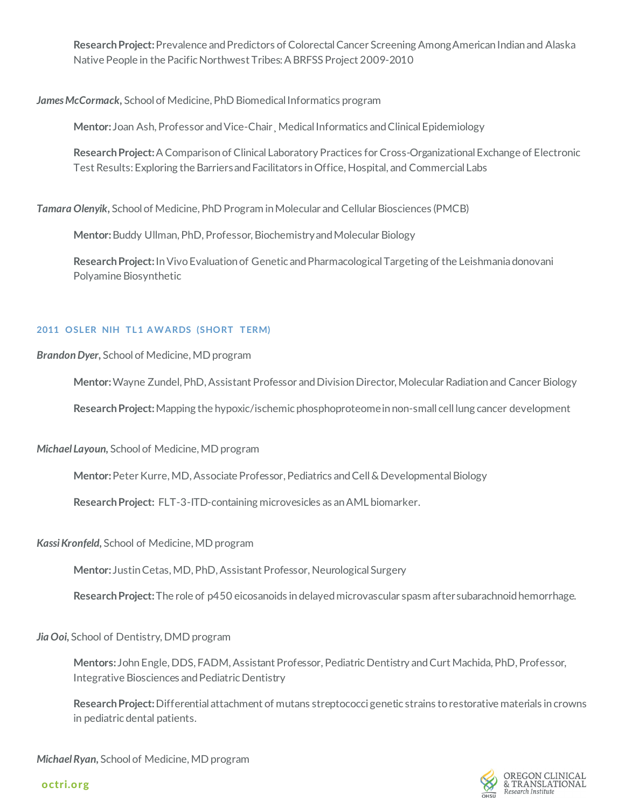**Research Project:** Prevalence and Predictors of Colorectal Cancer Screening Among American Indian and Alaska Native People in the Pacific Northwest Tribes: A BRFSS Project 2009-2010

*James McCormack,* School of Medicine, PhD Biomedical Informatics program

**Mentor:** Joan Ash, Professor and Vice-Chair¸ Medical Informatics and Clinical Epidemiology

**Research Project:** A Comparison of Clinical Laboratory Practices for Cross-Organizational Exchange of Electronic Test Results: Exploring the Barriers and Facilitators in Office, Hospital, and Commercial Labs

*Tamara Olenyik,* School of Medicine, PhD Program in Molecular and Cellular Biosciences (PMCB)

**Mentor:**Buddy Ullman, PhD, Professor, Biochemistry and Molecular Biology

**Research Project:** In Vivo Evaluation of Genetic and Pharmacological Targeting of the Leishmania donovani Polyamine Biosynthetic

# **2011 OSLER NIH TL1 AWARDS (SHORT TERM)**

# *Brandon Dyer,* School of Medicine, MD program

**Mentor:** Wayne Zundel, PhD, Assistant Professor and Division Director, Molecular Radiation and Cancer Biology

**Research Project:** Mapping the hypoxic/ischemic phosphoproteome in non-small cell lung cancer development

*Michael Layoun,* School of Medicine, MD program

**Mentor:** Peter Kurre, MD, Associate Professor, Pediatrics and Cell & Developmental Biology

**Research Project:** FLT-3-ITD-containing microvesicles as an AML biomarker.

# *Kassi Kronfeld,* School of Medicine, MD program

**Mentor:** Justin Cetas, MD, PhD, Assistant Professor, Neurological Surgery

**Research Project:** The role of p450 eicosanoids in delayed microvascular spasm after subarachnoid hemorrhage.

*Jia Ooi,* School of Dentistry, DMD program

**Mentors:** John Engle, DDS, FADM, Assistant Professor, Pediatric Dentistry and Curt Machida, PhD, Professor, Integrative Biosciences and Pediatric Dentistry

**Research Project:** Differential attachment of mutans streptococci genetic strains to restorative materials in crowns in pediatric dental patients.

*Michael Ryan,* School of Medicine, MD program

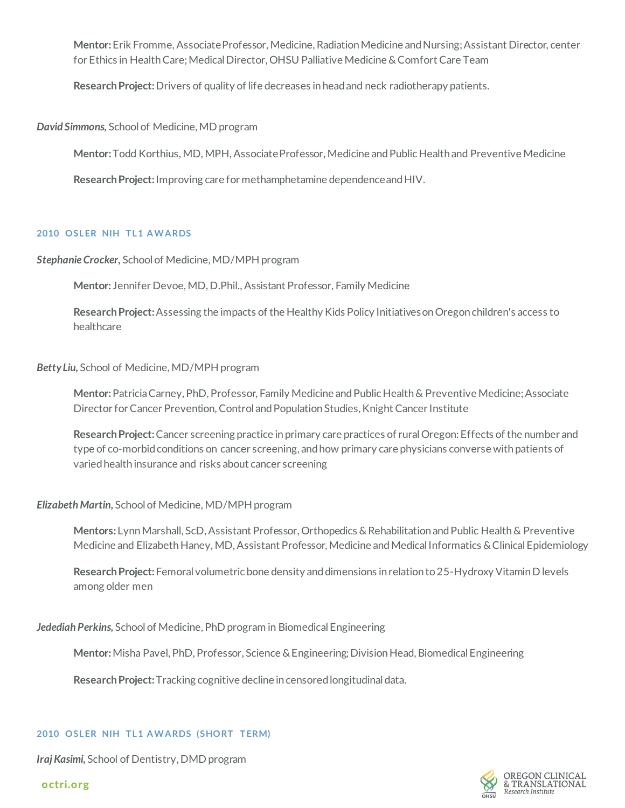**Mentor:** Erik Fromme, Associate Professor, Medicine, Radiation Medicine and Nursing; Assistant Director, center for Ethics in Health Care; Medical Director, OHSU Palliative Medicine & Comfort Care Team

**Research Project:** Drivers of quality of life decreases in head and neck radiotherapy patients*.*

*David Simmons,* School of Medicine, MD program

**Mentor:** Todd Korthius, MD, MPH, Associate Professor, Medicine and Public Health and Preventive Medicine

**Research Project:** Improving care for methamphetamine dependence and HIV.

# **2010 OSLER NIH TL1 AWARDS**

*Stephanie Crocker,* School of Medicine, MD/MPH program

**Mentor:** Jennifer Devoe, MD, D.Phil., Assistant Professor, Family Medicine

**Research Project:** Assessing the impacts of the Healthy Kids Policy Initiatives on Oregon children's access to healthcare

# *Betty Liu,* School of Medicine, MD/MPH program

**Mentor:** Patricia Carney, PhD, Professor, Family Medicine and Public Health & Preventive Medicine; Associate Director for Cancer Prevention, Control and Population Studies, Knight Cancer Institute

**Research Project:** Cancer screening practice in primary care practices of rural Oregon: Effects of the number and type of co-morbid conditions on cancer screening, and how primary care physicians converse with patients of varied health insurance and risks about cancer screening

# *Elizabeth Martin,* School of Medicine, MD/MPH program

**Mentors:** Lynn Marshall, ScD, Assistant Professor, Orthopedics & Rehabilitation and Public Health & Preventive Medicine and Elizabeth Haney, MD, Assistant Professor, Medicine and Medical Informatics & Clinical Epidemiology

**Research Project:** Femoral volumetric bone density and dimensions in relation to 25-Hydroxy Vitamin D levels among older men

*Jedediah Perkins,* School of Medicine, PhD program in Biomedical Engineering

**Mentor:**Misha Pavel, PhD, Professor, Science & Engineering; Division Head, Biomedical Engineering

**Research Project:** Tracking cognitive decline in censored longitudinal data.

#### **2010 OSLER NIH TL1 AWARDS (SHORT TERM)**

*Iraj Kasimi,* School of Dentistry, DMD program

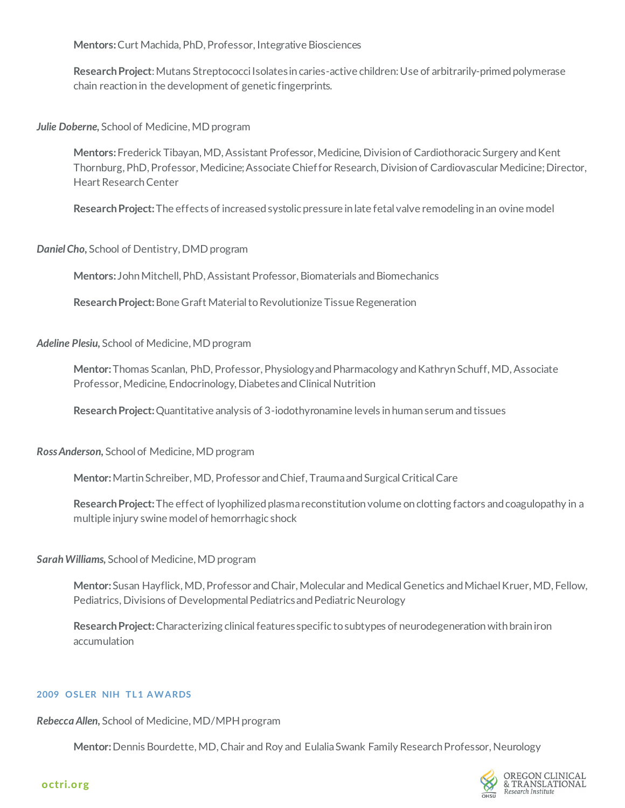**Mentors:** Curt Machida, PhD, Professor, Integrative Biosciences

**Research Project**: Mutans Streptococci Isolates in caries-active children: Use of arbitrarily-primed polymerase chain reaction in the development of genetic fingerprints.

*Julie Doberne,* School of Medicine, MD program

**Mentors:** Frederick Tibayan, MD, Assistant Professor, Medicine, Division of Cardiothoracic Surgery and Kent Thornburg, PhD, Professor, Medicine; Associate Chief for Research, Division of Cardiovascular Medicine; Director, Heart Research Center

**Research Project:** The effects of increased systolic pressure in late fetal valve remodeling in an ovine model

*Daniel Cho,* School of Dentistry, DMD program

**Mentors:** John Mitchell, PhD, Assistant Professor, Biomaterials and Biomechanics

**Research Project:** Bone Graft Material to Revolutionize Tissue Regeneration

*Adeline Plesiu,* School of Medicine, MD program

**Mentor:** Thomas Scanlan, PhD, Professor, Physiology and Pharmacology and Kathryn Schuff, MD, Associate Professor, Medicine, Endocrinology, Diabetes and Clinical Nutrition

**Research Project:** Quantitative analysis of 3-iodothyronamine levels in human serum and tissues

*Ross Anderson,* School of Medicine, MD program

**Mentor:** Martin Schreiber, MD, Professor and Chief, Trauma and Surgical Critical Care

**Research Project:** The effect of lyophilized plasma reconstitution volume on clotting factors and coagulopathy in a multiple injury swine model of hemorrhagic shock

*Sarah Williams,* School of Medicine, MD program

**Mentor:** Susan Hayflick, MD, Professor and Chair, Molecular and Medical Genetics and Michael Kruer, MD, Fellow, Pediatrics, Divisions of Developmental Pediatrics and Pediatric Neurology

**Research Project:** Characterizing clinical features specific to subtypes of neurodegeneration with brain iron accumulation

#### **2009 OSLER NIH TL1 AWARDS**

*Rebecca Allen,* School of Medicine, MD/MPH program

**Mentor:** Dennis Bourdette, MD, Chair and Roy and Eulalia Swank Family Research Professor, Neurology

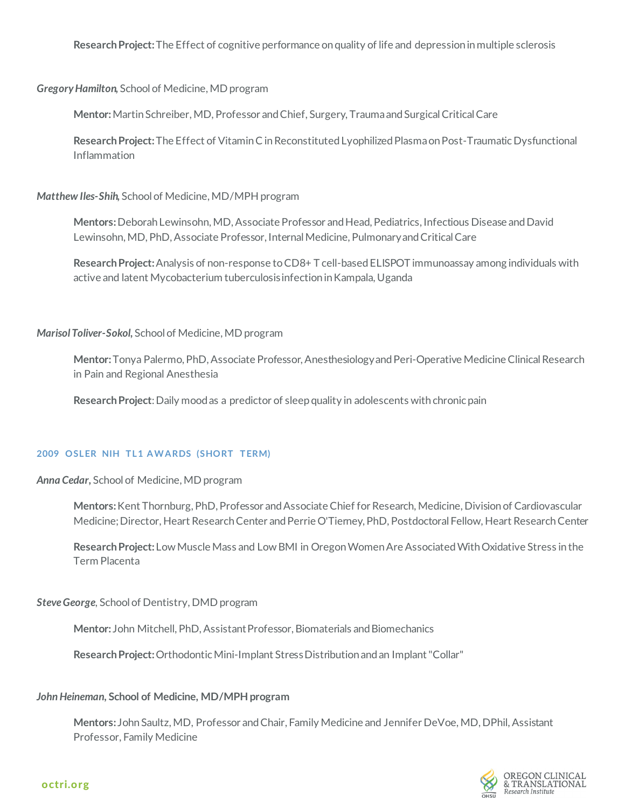**Research Project:** The Effect of cognitive performance on quality of life and depression in multiple sclerosis

*Gregory Hamilton,* School of Medicine, MD program

**Mentor:** Martin Schreiber, MD, Professor and Chief, Surgery, Trauma and Surgical Critical Care

**Research Project:** The Effect of Vitamin C in Reconstituted Lyophilized Plasma on Post-Traumatic Dysfunctional Inflammation

*Matthew Iles-Shih,* School of Medicine, MD/MPH program

**Mentors:** Deborah Lewinsohn, MD, Associate Professor and Head, Pediatrics, Infectious Disease and David Lewinsohn, MD, PhD, Associate Professor, Internal Medicine, Pulmonary and Critical Care

**Research Project:** Analysis of non-response to CD8+ T cell-based ELISPOT immunoassay among individuals with active and latent Mycobacterium tuberculosis infection in Kampala, Uganda

#### *Marisol Toliver-Sokol,* School of Medicine, MD program

**Mentor:** Tonya Palermo, PhD, Associate Professor, Anesthesiology and Peri-Operative Medicine Clinical Research in Pain and Regional Anesthesia

**Research Project**: Daily mood as a predictor of sleep quality in adolescents with chronic pain

#### **2009 OSLER NIH TL1 AWARDS (SHORT TERM)**

*Anna Cedar,* School of Medicine, MD program

**Mentors:** Kent Thornburg, PhD, Professor and Associate Chief for Research, Medicine, Division of Cardiovascular Medicine; Director, Heart Research Center and Perrie O'Tierney, PhD, Postdoctoral Fellow, Heart Research Center

**Research Project:** Low Muscle Mass and Low BMI in Oregon Women Are Associated With Oxidative Stress in the Term Placenta

*Steve George,* School of Dentistry, DMD program

**Mentor:** John Mitchell, PhD, Assistant Professor, Biomaterials and Biomechanics

**Research Project:** Orthodontic Mini-Implant Stress Distribution and an Implant "Collar"

# *John Heineman,* **School of Medicine, MD/MPH program**

**Mentors:** John Saultz, MD, Professor and Chair, Family Medicine and Jennifer DeVoe, MD, DPhil, Assistant Professor, Family Medicine

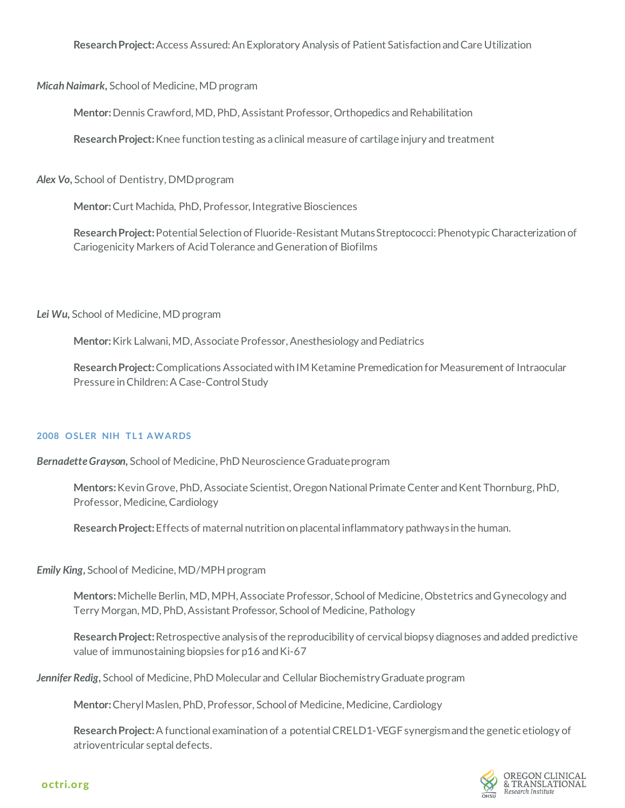**Research Project:** Access Assured: An Exploratory Analysis of Patient Satisfaction and Care Utilization

*Micah Naimark,* School of Medicine, MD program

**Mentor:** Dennis Crawford, MD, PhD, Assistant Professor, Orthopedics and Rehabilitation

**Research Project:** Knee function testing as a clinical measure of cartilage injury and treatment

*Alex Vo,* School of Dentistry, DMD program

**Mentor:** Curt Machida, PhD, Professor, Integrative Biosciences

**Research Project:** Potential Selection of Fluoride-Resistant Mutans Streptococci: PhenotypicCharacterization of Cariogenicity Markers of Acid Tolerance and Generation of Biofilms

*Lei Wu,* School of Medicine, MD program

**Mentor:** Kirk Lalwani, MD, Associate Professor, Anesthesiology and Pediatrics

**Research Project:** Complications Associated with IM Ketamine Premedication for Measurement of Intraocular Pressure in Children: A Case-Control Study

# **2008 OSLER NIH TL1 AWARDS**

*Bernadette Grayson,* School of Medicine, PhD Neuroscience Graduate program

**Mentors:** Kevin Grove, PhD, Associate Scientist, Oregon National Primate Center and Kent Thornburg, PhD, Professor, Medicine, Cardiology

**Research Project:** Effects of maternal nutrition on placental inflammatory pathways in the human.

*Emily King,* School of Medicine, MD/MPH program

**Mentors:** Michelle Berlin, MD, MPH, Associate Professor, School of Medicine, Obstetrics and Gynecology and Terry Morgan, MD, PhD, Assistant Professor, School of Medicine, Pathology

**Research Project:** Retrospective analysis of the reproducibility of cervical biopsy diagnoses and added predictive value of immunostaining biopsies for p16 and Ki-67

*Jennifer Redig,* School of Medicine, PhD Molecular and Cellular Biochemistry Graduate program

**Mentor:** Cheryl Maslen, PhD, Professor, School of Medicine, Medicine, Cardiology

**Research Project:** A functional examination of a potential CRELD1-VEGF synergism and the genetic etiology of atrioventricular septal defects.

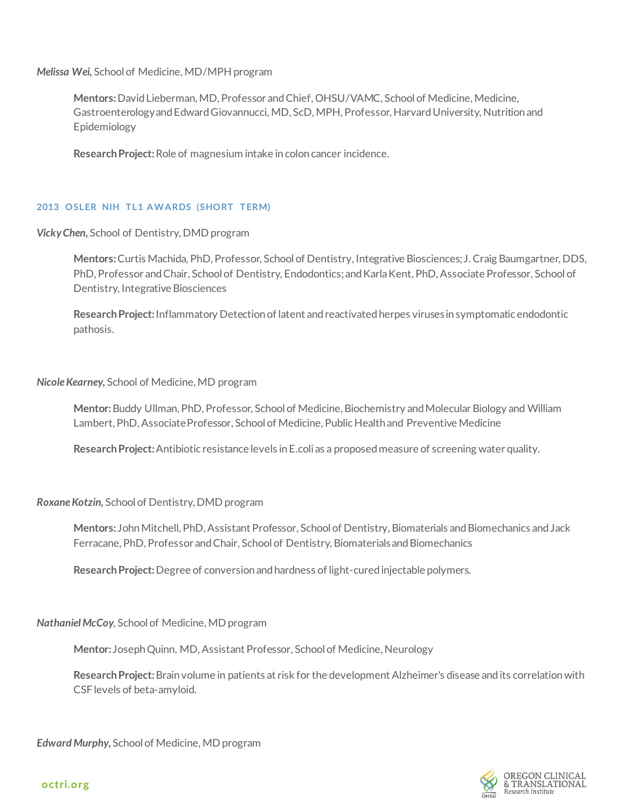*Melissa Wei,* School of Medicine, MD/MPH program

**Mentors:** David Lieberman, MD, Professor and Chief, OHSU/VAMC, School of Medicine, Medicine, Gastroenterology and Edward Giovannucci, MD, ScD, MPH, Professor, Harvard University, Nutrition and Epidemiology

**Research Project:** Role of magnesium intake in colon cancer incidence.

#### **2013 OSLER NIH TL1 AWARDS (SHORT TERM)**

*Vicky Chen,* School of Dentistry, DMD program

**Mentors:** Curtis Machida, PhD, Professor, School of Dentistry, Integrative Biosciences; J. Craig Baumgartner, DDS, PhD, Professor and Chair, School of Dentistry, Endodontics; and Karla Kent, PhD, Associate Professor, School of Dentistry, Integrative Biosciences

**Research Project:** Inflammatory Detection of latent and reactivated herpes viruses in symptomatic endodontic pathosis.

*Nicole Kearney,* School of Medicine, MD program

**Mentor:** Buddy Ullman, PhD, Professor, School of Medicine, Biochemistry and Molecular Biology and William Lambert, PhD, Associate Professor, School of Medicine, Public Health and Preventive Medicine

**Research Project:** Antibiotic resistance levels in E.coli as a proposed measure of screening water quality*.*

*Roxane Kotzin,* School of Dentistry, DMD program

**Mentors:** John Mitchell, PhD, Assistant Professor, School of Dentistry, Biomaterials and Biomechanics and Jack Ferracane, PhD, Professor and Chair, School of Dentistry, Biomaterials and Biomechanics

**Research Project:** Degree of conversion and hardness of light-cured injectable polymers.

*Nathaniel McCoy,* School of Medicine, MD program

**Mentor:** Joseph Quinn, MD, Assistant Professor, School of Medicine, Neurology

**Research Project:** Brain volume in patients at risk for the development Alzheimer's disease and its correlation with CSF levels of beta-amyloid.

*Edward Murphy,* School of Medicine, MD program

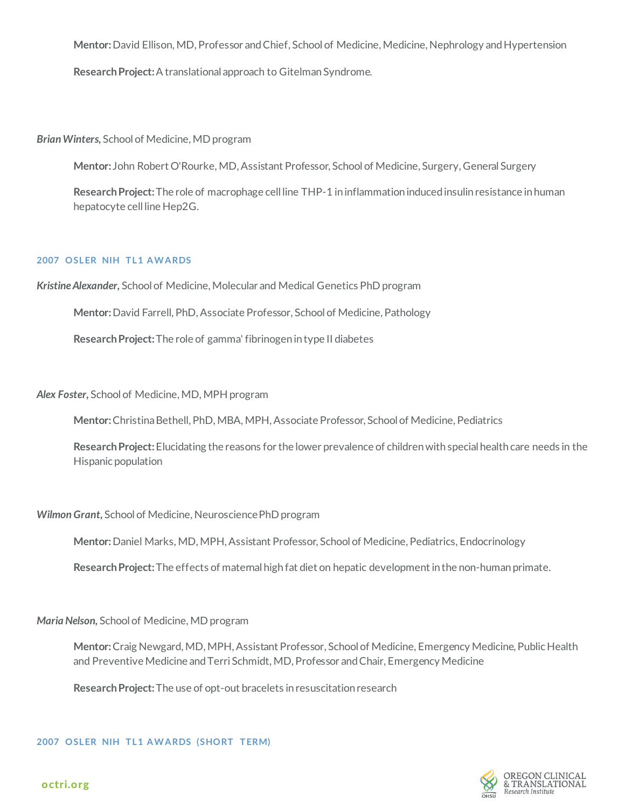**Mentor:** David Ellison, MD, Professor and Chief, School of Medicine, Medicine, Nephrology and Hypertension

**Research Project:** A translational approach to Gitelman Syndrome.

*Brian Winters,* School of Medicine, MD program

**Mentor:** John Robert O'Rourke, MD, Assistant Professor, School of Medicine, Surgery, General Surgery

**Research Project:** The role of macrophage cell line THP-1 in inflammation induced insulin resistance in human hepatocyte cell line Hep2G.

#### **2007 OSLER NIH TL1 AWARDS**

*Kristine Alexander,* School of Medicine, Molecular and Medical Genetics PhD program

**Mentor:** David Farrell, PhD, Associate Professor, School of Medicine, Pathology

**Research Project:** The role of gamma' fibrinogen in type II diabetes

*Alex Foster,* School of Medicine, MD, MPH program

**Mentor:** Christina Bethell, PhD, MBA, MPH, Associate Professor, School of Medicine, Pediatrics

**Research Project:** Elucidating the reasons for the lower prevalence of children with special health care needs in the Hispanic population

# *Wilmon Grant,* School of Medicine, Neuroscience PhD program

**Mentor:** Daniel Marks, MD, MPH, Assistant Professor, School of Medicine, Pediatrics, Endocrinology

**Research Project:** The effects of maternal high fat diet on hepatic development in the non-human primate.

*Maria Nelson,* School of Medicine, MD program

**Mentor:** Craig Newgard, MD, MPH, Assistant Professor, School of Medicine, Emergency Medicine, Public Health and Preventive Medicine and Terri Schmidt, MD, Professor and Chair, Emergency Medicine

**Research Project:** The use of opt-out bracelets in resuscitation research

**2007 OSLER NIH TL1 AWARDS (SHORT TERM)**